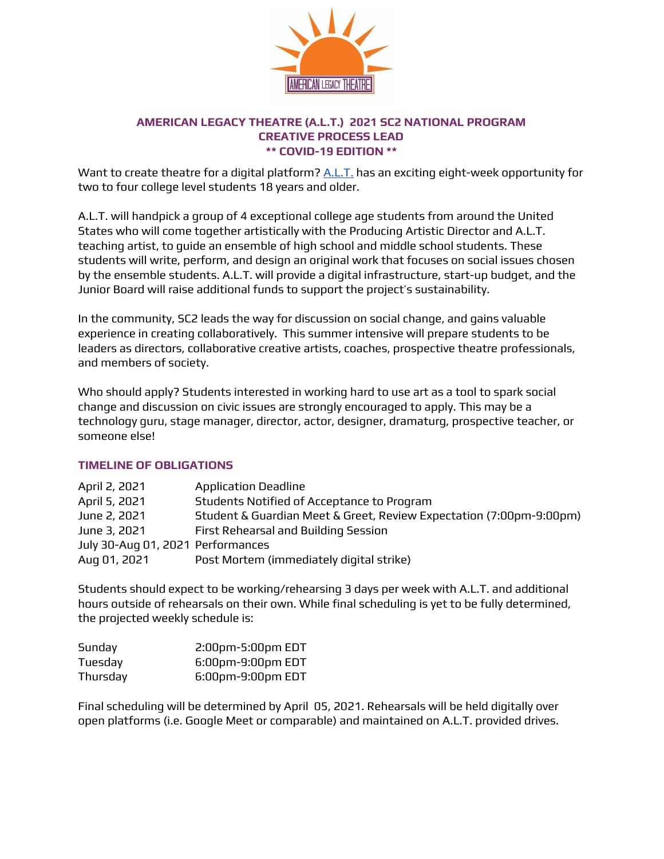

# **AMERICAN LEGACY THEATRE (A.L.T.) 2021 SC2 NATIONAL PROGRAM CREATIVE PROCESS LEAD \*\* COVID-19 EDITION \*\***

Want to create theatre for a digital platform? [A.L.T.](https://www.americanlegacytheatre.org/about) has an exciting eight-week opportunity for two to four college level students 18 years and older.

A.L.T. will handpick a group of 4 exceptional college age students from around the United States who will come together artistically with the Producing Artistic Director and A.L.T. teaching artist, to guide an ensemble of high school and middle school students. These students will write, perform, and design an original work that focuses on social issues chosen by the ensemble students. A.L.T. will provide a digital infrastructure, start-up budget, and the Junior Board will raise additional funds to support the project's sustainability.

In the community, SC2 leads the way for discussion on social change, and gains valuable experience in creating collaboratively. This summer intensive will prepare students to be leaders as directors, collaborative creative artists, coaches, prospective theatre professionals, and members of society.

Who should apply? Students interested in working hard to use art as a tool to spark social change and discussion on civic issues are strongly encouraged to apply. This may be a technology guru, stage manager, director, actor, designer, dramaturg, prospective teacher, or someone else!

## **TIMELINE OF OBLIGATIONS**

| April 2, 2021                     | <b>Application Deadline</b>                                         |
|-----------------------------------|---------------------------------------------------------------------|
| April 5, 2021                     | Students Notified of Acceptance to Program                          |
| June 2, 2021                      | Student & Guardian Meet & Greet, Review Expectation (7:00pm-9:00pm) |
| June 3, 2021                      | First Rehearsal and Building Session                                |
| July 30-Aug 01, 2021 Performances |                                                                     |
| Aug 01, 2021                      | Post Mortem (immediately digital strike)                            |

Students should expect to be working/rehearsing 3 days per week with A.L.T. and additional hours outside of rehearsals on their own. While final scheduling is yet to be fully determined, the projected weekly schedule is:

| Sunday   | 2:00pm-5:00pm EDT |
|----------|-------------------|
| Tuesday  | 6:00pm-9:00pm EDT |
| Thursday | 6:00pm-9:00pm EDT |

Final scheduling will be determined by April 05, 2021. Rehearsals will be held digitally over open platforms (i.e. Google Meet or comparable) and maintained on A.L.T. provided drives.